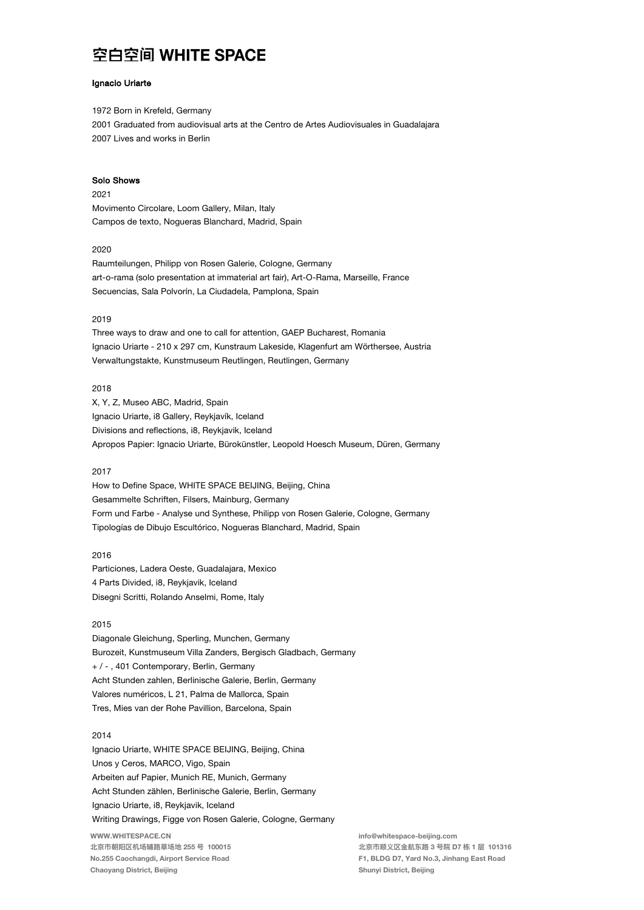## Ignacio Uriarte

1972 Born in Krefeld, Germany 2001 Graduated from audiovisual arts at the Centro de Artes Audiovisuales in Guadalajara 2007 Lives and works in Berlin

#### Solo Shows

### 2021

Movimento Circolare, Loom Gallery, Milan, Italy Campos de texto, Nogueras Blanchard, Madrid, Spain

## 2020

Raumteilungen, Philipp von Rosen Galerie, Cologne, Germany art-o-rama (solo presentation at immaterial art fair), Art-O-Rama, Marseille, France Secuencias, Sala Polvorín, La Ciudadela, Pamplona, Spain

## 2019

Three ways to draw and one to call for attention, GAEP Bucharest, Romania Ignacio Uriarte - 210 x 297 cm, Kunstraum Lakeside, Klagenfurt am Wörthersee, Austria Verwaltungstakte, Kunstmuseum Reutlingen, Reutlingen, Germany

### 2018

X, Y, Z, Museo ABC, Madrid, Spain Ignacio Uriarte, i8 Gallery, Reykjavík, Iceland Divisions and reflections, i8, Reykjavik, Iceland Apropos Papier: Ignacio Uriarte, Bürokünstler, Leopold Hoesch Museum, Düren, Germany

## 2017

How to Define Space, WHITE SPACE BEIJING, Beijing, China Gesammelte Schriften, Filsers, Mainburg, Germany Form und Farbe - Analyse und Synthese, Philipp von Rosen Galerie, Cologne, Germany Tipologías de Dibujo Escultórico, Nogueras Blanchard, Madrid, Spain

#### 2016

Particiones, Ladera Oeste, Guadalajara, Mexico 4 Parts Divided, i8, Reykjavik, Iceland Disegni Scritti, Rolando Anselmi, Rome, Italy

### 2015

Diagonale Gleichung, Sperling, Munchen, Germany Burozeit, Kunstmuseum Villa Zanders, Bergisch Gladbach, Germany + / -, 401 Contemporary, Berlin, Germany Acht Stunden zahlen, Berlinische Galerie, Berlin, Germany Valores numéricos, L 21, Palma de Mallorca, Spain Tres, Mies van der Rohe Pavillion, Barcelona, Spain

## 2014

WWW.WHITESPACE.CN 北京市朝阳区机场辅路草场地 255 号 100015 No.255 Caochangdi, Airport Service Road Chaoyang District, Beijing Ignacio Uriarte, WHITE SPACE BEIJING, Beijing, China Unos y Ceros, MARCO, Vigo, Spain Arbeiten auf Papier, Munich RE, Munich, Germany Acht Stunden zählen, Berlinische Galerie, Berlin, Germany Ignacio Uriarte, i8, Reykjavik, Iceland Writing Drawings, Figge von Rosen Galerie, Cologne, Germany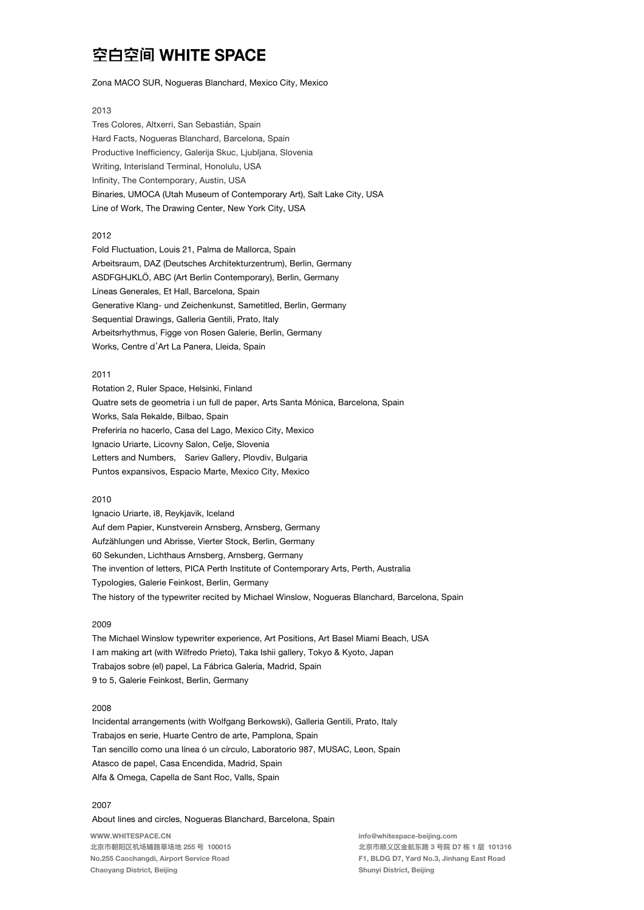## Zona MACO SUR, Nogueras Blanchard, Mexico City, Mexico

## 2013

Tres Colores, Altxerri, San Sebastián, Spain Hard Facts, Nogueras Blanchard, Barcelona, Spain Productive Inefficiency, Galerija Skuc, Ljubljana, Slovenia Writing, Interisland Terminal, Honolulu, USA Infinity, The Contemporary, Austin, USA Binaries, UMOCA (Utah Museum of Contemporary Art), Salt Lake City, USA Line of Work, The Drawing Center, New York City, USA

### 2012

Fold Fluctuation, Louis 21, Palma de Mallorca, Spain Arbeitsraum, DAZ (Deutsches Architekturzentrum), Berlin, Germany ASDFGHJKLÖ, ABC (Art Berlin Contemporary), Berlin, Germany Líneas Generales, Et Hall, Barcelona, Spain Generative Klang- und Zeichenkunst, Sametitled, Berlin, Germany Sequential Drawings, Galleria Gentili, Prato, Italy Arbeitsrhythmus, Figge von Rosen Galerie, Berlin, Germany Works, Centre d'Art La Panera, Lleida, Spain

## 2011

Rotation 2, Ruler Space, Helsinki, Finland Quatre sets de geometria i un full de paper, Arts Santa Mónica, Barcelona, Spain Works, Sala Rekalde, Bilbao, Spain Preferiría no hacerlo, Casa del Lago, Mexico City, Mexico Ignacio Uriarte, Licovny Salon, Celje, Slovenia Letters and Numbers, Sariev Gallery, Plovdiv, Bulgaria Puntos expansivos, Espacio Marte, Mexico City, Mexico

#### 2010

Ignacio Uriarte, i8, Reykjavik, Iceland Auf dem Papier, Kunstverein Arnsberg, Arnsberg, Germany Aufzählungen und Abrisse, Vierter Stock, Berlin, Germany 60 Sekunden, Lichthaus Arnsberg, Arnsberg, Germany The invention of letters, PICA Perth Institute of Contemporary Arts, Perth, Australia Typologies, Galerie Feinkost, Berlin, Germany The history of the typewriter recited by Michael Winslow, Nogueras Blanchard, Barcelona, Spain

### 2009

The Michael Winslow typewriter experience, Art Positions, Art Basel Miami Beach, USA I am making art (with Wilfredo Prieto), Taka Ishii gallery, Tokyo & Kyoto, Japan Trabajos sobre (el) papel, La Fábrica Galería, Madrid, Spain 9 to 5, Galerie Feinkost, Berlin, Germany

## 2008

Incidental arrangements (with Wolfgang Berkowski), Galleria Gentili, Prato, Italy Trabajos en serie, Huarte Centro de arte, Pamplona, Spain Tan sencillo como una línea ó un círculo, Laboratorio 987, MUSAC, Leon, Spain Atasco de papel, Casa Encendida, Madrid, Spain Alfa & Omega, Capella de Sant Roc, Valls, Spain

## 2007

About lines and circles, Nogueras Blanchard, Barcelona, Spain

WWW.WHITESPACE.CN 北京市朝阳区机场辅路草场地 255 号 100015 No.255 Caochangdi, Airport Service Road Chaoyang District, Beijing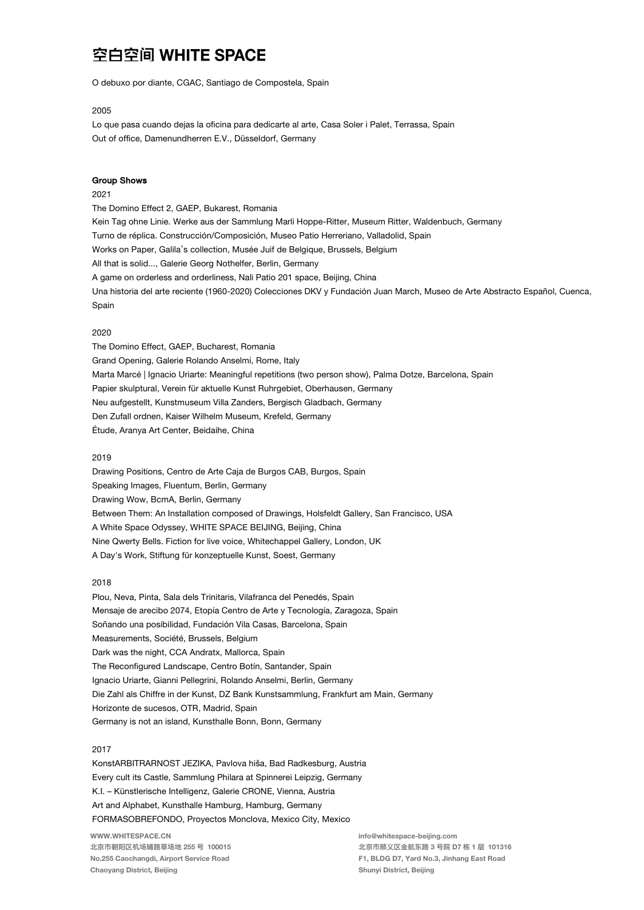O debuxo por diante, CGAC, Santiago de Compostela, Spain

## 2005

Lo que pasa cuando dejas la oficina para dedicarte al arte, Casa Soler i Palet, Terrassa, Spain Out of office, Damenundherren E.V., Düsseldorf, Germany

#### **Group Shows**

## 2021

The Domino Effect 2, GAEP, Bukarest, Romania Kein Tag ohne Linie. Werke aus der Sammlung Marli Hoppe-Ritter, Museum Ritter, Waldenbuch, Germany Turno de réplica. Construcción/Composición, Museo Patio Herreriano, Valladolid, Spain Works on Paper, Galila's collection, Musée Juif de Belgique, Brussels, Belgium All that is solid..., Galerie Georg Nothelfer, Berlin, Germany A game on orderless and orderliness, Nali Patio 201 space, Beijing, China Una historia del arte reciente (1960-2020) Colecciones DKV y Fundación Juan March, Museo de Arte Abstracto Español, Cuenca, Spain

#### 2020

The Domino Effect, GAEP, Bucharest, Romania Grand Opening, Galerie Rolando Anselmi, Rome, Italy Marta Marcé | Ignacio Uriarte: Meaningful repetitions (two person show), Palma Dotze, Barcelona, Spain Papier skulptural, Verein für aktuelle Kunst Ruhrgebiet, Oberhausen, Germany Neu aufgestellt, Kunstmuseum Villa Zanders, Bergisch Gladbach, Germany Den Zufall ordnen, Kaiser Wilhelm Museum, Krefeld, Germany Étude, Aranya Art Center, Beidaihe, China

### 2019

Drawing Positions, Centro de Arte Caja de Burgos CAB, Burgos, Spain Speaking Images, Fluentum, Berlin, Germany Drawing Wow, BcmA, Berlin, Germany Between Them: An Installation composed of Drawings, Holsfeldt Gallery, San Francisco, USA A White Space Odyssey, WHITE SPACE BEIJING, Beijing, China Nine Qwerty Bells. Fiction for live voice, Whitechappel Gallery, London, UK A Day's Work, Stiftung für konzeptuelle Kunst, Soest, Germany

#### 2018

Plou, Neva, Pinta, Sala dels Trinitaris, Vilafranca del Penedés, Spain Mensaje de arecibo 2074, Etopía Centro de Arte y Tecnología, Zaragoza, Spain Soñando una posibilidad, Fundación Vila Casas, Barcelona, Spain Measurements, Société, Brussels, Belgium Dark was the night, CCA Andratx, Mallorca, Spain The Reconfigured Landscape, Centro Botín, Santander, Spain Ignacio Uriarte, Gianni Pellegrini, Rolando Anselmi, Berlin, Germany Die Zahl als Chiffre in der Kunst, DZ Bank Kunstsammlung, Frankfurt am Main, Germany Horizonte de sucesos, OTR, Madrid, Spain Germany is not an island, Kunsthalle Bonn, Bonn, Germany

### 2017

WWW.WHITESPACE.CN KonstARBITRARNOST JEZIKA, Pavlova hiša, Bad Radkesburg, Austria Every cult its Castle, Sammlung Philara at Spinnerei Leipzig, Germany K.I. - Künstlerische Intelligenz, Galerie CRONE, Vienna, Austria Art and Alphabet, Kunsthalle Hamburg, Hamburg, Germany FORMASOBREFONDO, Proyectos Monclova, Mexico City, Mexico

北京市朝阳区机场辅路草场地 255 号 100015 No.255 Caochangdi, Airport Service Road Chaoyang District, Beijing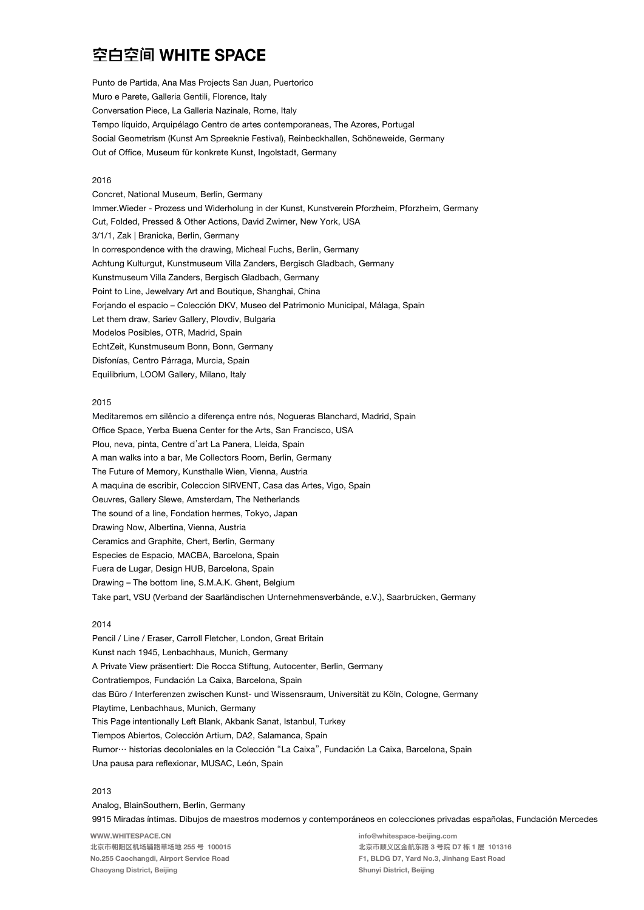Punto de Partida, Ana Mas Projects San Juan, Puertorico Muro e Parete, Galleria Gentili, Florence, Italy Conversation Piece, La Galleria Nazinale, Rome, Italy Tempo líquido, Arquipélago Centro de artes contemporaneas, The Azores, Portugal Social Geometrism (Kunst Am Spreeknie Festival), Reinbeckhallen, Schöneweide, Germany Out of Office, Museum für konkrete Kunst, Ingolstadt, Germany

## 2016

Concret, National Museum, Berlin, Germany Immer. Wieder - Prozess und Widerholung in der Kunst, Kunstverein Pforzheim, Pforzheim, Germany Cut, Folded, Pressed & Other Actions, David Zwirner, New York, USA 3/1/1, Zak | Branicka, Berlin, Germany In correspondence with the drawing, Micheal Fuchs, Berlin, Germany Achtung Kulturgut, Kunstmuseum Villa Zanders, Bergisch Gladbach, Germany Kunstmuseum Villa Zanders, Bergisch Gladbach, Germany Point to Line, Jewelvary Art and Boutique, Shanghai, China Forjando el espacio – Colección DKV, Museo del Patrimonio Municipal, Málaga, Spain Let them draw, Sariev Gallery, Plovdiv, Bulgaria Modelos Posibles, OTR, Madrid, Spain EchtZeit, Kunstmuseum Bonn, Bonn, Germany Disfonías, Centro Párraga, Murcia, Spain Equilibrium, LOOM Gallery, Milano, Italy

## 2015

Meditaremos em silêncio a diferença entre nós, Nogueras Blanchard, Madrid, Spain Office Space, Yerba Buena Center for the Arts, San Francisco, USA Plou, neva, pinta, Centre d'art La Panera, Lleida, Spain A man walks into a bar, Me Collectors Room, Berlin, Germany The Future of Memory, Kunsthalle Wien, Vienna, Austria A maquina de escribir, Coleccion SIRVENT, Casa das Artes, Vigo, Spain Oeuvres, Gallery Slewe, Amsterdam, The Netherlands The sound of a line, Fondation hermes, Tokyo, Japan Drawing Now, Albertina, Vienna, Austria Ceramics and Graphite, Chert, Berlin, Germany Especies de Espacio, MACBA, Barcelona, Spain Fuera de Lugar, Design HUB, Barcelona, Spain Drawing - The bottom line, S.M.A.K. Ghent, Belgium Take part, VSU (Verband der Saarländischen Unternehmensverbände, e.V.), Saarbrucken, Germany

#### 2014

Pencil / Line / Eraser, Carroll Fletcher, London, Great Britain Kunst nach 1945, Lenbachhaus, Munich, Germany A Private View präsentiert: Die Rocca Stiftung, Autocenter, Berlin, Germany Contratiempos, Fundación La Caixa, Barcelona, Spain das Büro / Interferenzen zwischen Kunst- und Wissensraum, Universität zu Köln, Cologne, Germany Playtime, Lenbachhaus, Munich, Germany This Page intentionally Left Blank, Akbank Sanat, Istanbul, Turkey Tiempos Abiertos, Colección Artium, DA2, Salamanca, Spain Rumor… historias decoloniales en la Colección "La Caixa", Fundación La Caixa, Barcelona, Spain Una pausa para reflexionar, MUSAC, León, Spain

## 2013

WWW.WHITESPACE.CN 北京市朝阳区机场辅路草场地 255 号 100015 No.255 Caochangdi, Airport Service Road Chaoyang District, Beijing info@whitespace-beijing.com 北京市顺义区⾦航东路 3 号院 D7 栋 1 层 101316 F1, BLDG D7, Yard No.3, Jinhang East Road Shunyi District, Beijing Analog, BlainSouthern, Berlin, Germany 9915 Miradas íntimas. Dibujos de maestros modernos y contemporáneos en colecciones privadas españolas, Fundación Mercedes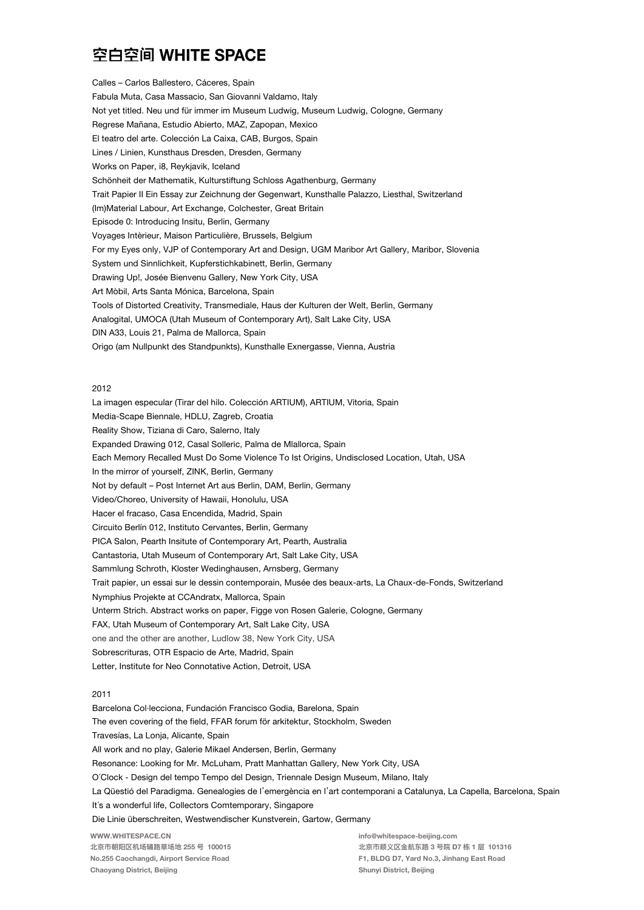Calles – Carlos Ballestero, Cáceres, Spain Fabula Muta, Casa Massacio, San Giovanni Valdamo, Italy Not yet titled. Neu und für immer im Museum Ludwig, Museum Ludwig, Cologne, Germany Regrese Mañana, Estudio Abierto, MAZ, Zapopan, Mexico El teatro del arte. Colección La Caixa, CAB, Burgos, Spain Lines / Linien, Kunsthaus Dresden, Dresden, Germany Works on Paper, i8, Reykjavik, Iceland Schönheit der Mathematik, Kulturstiftung Schloss Agathenburg, Germany Trait Papier II Ein Essay zur Zeichnung der Gegenwart, Kunsthalle Palazzo, Liesthal, Switzerland (Im)Material Labour, Art Exchange, Colchester, Great Britain Episode 0: Introducing Insitu, Berlin, Germany Voyages Intèrieur, Maison Particulière, Brussels, Belgium For my Eyes only, VJP of Contemporary Art and Design, UGM Maribor Art Gallery, Maribor, Slovenia System und Sinnlichkeit, Kupferstichkabinett, Berlin, Germany Drawing Up!, Josée Bienvenu Gallery, New York City, USA Art Mòbil, Arts Santa Mónica, Barcelona, Spain Tools of Distorted Creativity, Transmediale, Haus der Kulturen der Welt, Berlin, Germany Analogital, UMOCA (Utah Museum of Contemporary Art), Salt Lake City, USA DIN A33, Louis 21, Palma de Mallorca, Spain Origo (am Nullpunkt des Standpunkts), Kunsthalle Exnergasse, Vienna, Austria

### 2012

La imagen especular (Tirar del hilo. Colección ARTIUM), ARTIUM, Vitoria, Spain Media-Scape Biennale, HDLU, Zagreb, Croatia Reality Show, Tiziana di Caro, Salerno, Italy Expanded Drawing 012, Casal Solleric, Palma de Mlallorca, Spain Each Memory Recalled Must Do Some Violence To Ist Origins, Undisclosed Location, Utah, USA In the mirror of yourself, ZINK, Berlin, Germany Not by default – Post Internet Art aus Berlin, DAM, Berlin, Germany Video/Choreo, University of Hawaii, Honolulu, USA Hacer el fracaso, Casa Encendida, Madrid, Spain Circuito Berlín 012, Instituto Cervantes, Berlin, Germany PICA Salon, Pearth Insitute of Contemporary Art, Pearth, Australia Cantastoria, Utah Museum of Contemporary Art, Salt Lake City, USA Sammlung Schroth, Kloster Wedinghausen, Arnsberg, Germany Trait papier, un essai sur le dessin contemporain, Musée des beaux-arts, La Chaux-de-Fonds, Switzerland Nymphius Projekte at CCAndratx, Mallorca, Spain Unterm Strich. Abstract works on paper, Figge von Rosen Galerie, Cologne, Germany FAX, Utah Museum of Contemporary Art, Salt Lake City, USA one and the other are another, Ludlow 38, New York City, USA Sobrescrituras, OTR Espacio de Arte, Madrid, Spain Letter, Institute for Neo Connotative Action, Detroit, USA

## 2011

WWW.WHITESPACE.CN 北京市朝阳区机场辅路草场地 255 号 100015 No.255 Caochangdi, Airport Service Road info@whitespace-beijing.com 北京市顺义区⾦航东路 3 号院 D7 栋 1 层 101316 F1, BLDG D7, Yard No.3, Jinhang East Road Barcelona Col·lecciona, Fundación Francisco Godia, Barelona, Spain The even covering of the field, FFAR forum för arkitektur, Stockholm, Sweden Travesías, La Lonja, Alicante, Spain All work and no play, Galerie Mikael Andersen, Berlin, Germany Resonance: Looking for Mr. McLuham, Pratt Manhattan Gallery, New York City, USA O'Clock - Design del tempo Tempo del Design, Triennale Design Museum, Milano, Italy La Qüestió del Paradigma. Genealogies de l'emergència en l'art contemporani a Catalunya, La Capella, Barcelona, Spain It's a wonderful life, Collectors Comtemporary, Singapore Die Linie überschreiten, Westwendischer Kunstverein, Gartow, Germany

Shunyi District, Beijing

Chaoyang District, Beijing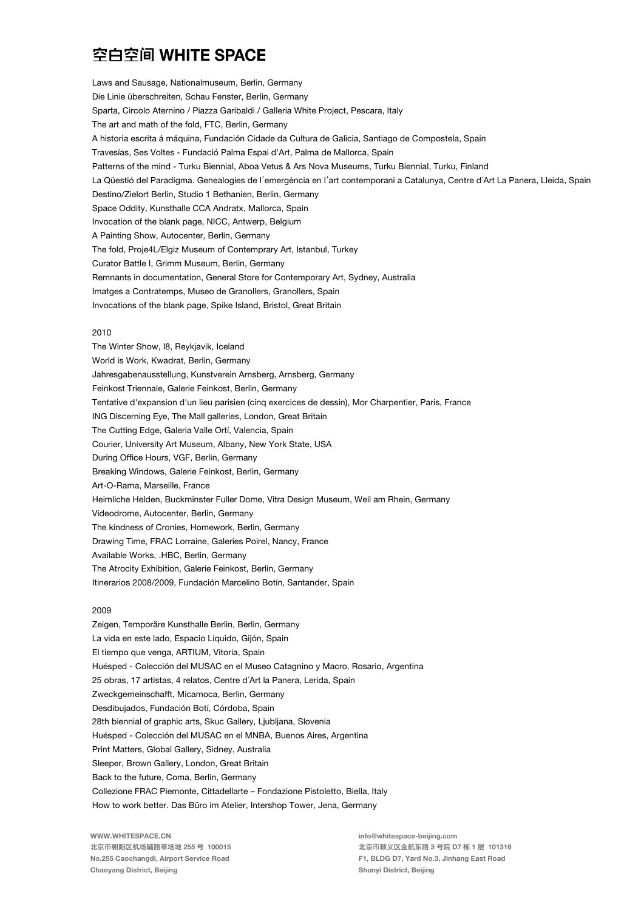Laws and Sausage, Nationalmuseum, Berlin, Germany Die Linie überschreiten, Schau Fenster, Berlin, Germany Sparta, Circolo Aternino / Piazza Garibaldi / Galleria White Project, Pescara, Italy The art and math of the fold, FTC, Berlin, Germany A historia escrita á máquina, Fundación Cidade da Cultura de Galicia, Santiago de Compostela, Spain Travesías, Ses Voltes - Fundació Palma Espai d'Art, Palma de Mallorca, Spain Patterns of the mind - Turku Biennial, Aboa Vetus & Ars Nova Museums, Turku Biennial, Turku, Finland La Qüestió del Paradigma. Genealogies de l'emergència en l'art contemporani a Catalunya, Centre d'Art La Panera, Lleida, Spain Destino/Zielort Berlin, Studio 1 Bethanien, Berlin, Germany Space Oddity, Kunsthalle CCA Andratx, Mallorca, Spain Invocation of the blank page, NICC, Antwerp, Belgium A Painting Show, Autocenter, Berlin, Germany The fold, Proje4L/Elgiz Museum of Contemprary Art, Istanbul, Turkey Curator Battle I, Grimm Museum, Berlin, Germany Remnants in documentation, General Store for Contemporary Art, Sydney, Australia Imatges a Contratemps, Museo de Granollers, Granollers, Spain Invocations of the blank page, Spike Island, Bristol, Great Britain

### 2010

The Winter Show, I8, Reykjavik, Iceland World is Work, Kwadrat, Berlin, Germany Jahresgabenausstellung, Kunstverein Arnsberg, Arnsberg, Germany Feinkost Triennale, Galerie Feinkost, Berlin, Germany Tentative d'expansion d'un lieu parisien (cinq exercices de dessin), Mor Charpentier, Paris, France ING Discerning Eye, The Mall galleries, London, Great Britain The Cutting Edge, Galeria Valle Ortí, Valencia, Spain Courier, University Art Museum, Albany, New York State, USA During Office Hours, VGF, Berlin, Germany Breaking Windows, Galerie Feinkost, Berlin, Germany Art-O-Rama, Marseille, France Heimliche Helden, Buckminster Fuller Dome, Vitra Design Museum, Weil am Rhein, Germany Videodrome, Autocenter, Berlin, Germany The kindness of Cronies, Homework, Berlin, Germany Drawing Time, FRAC Lorraine, Galeries Poirel, Nancy, France Available Works, .HBC, Berlin, Germany The Atrocity Exhibition, Galerie Feinkost, Berlin, Germany Itinerarios 2008/2009, Fundación Marcelino Botín, Santander, Spain

## 2009

Zeigen, Temporäre Kunsthalle Berlin, Berlin, Germany La vida en este lado, Espacio Líquido, Gijón, Spain El tiempo que venga, ARTIUM, Vitoria, Spain Huésped - Colección del MUSAC en el Museo Catagnino y Macro, Rosario, Argentina 25 obras, 17 artistas, 4 relatos, Centre d'Art la Panera, Lerida, Spain Zweckgemeinschafft, Micamoca, Berlin, Germany Desdibujados, Fundación Botí, Córdoba, Spain 28th biennial of graphic arts, Skuc Gallery, Ljubljana, Slovenia Huésped - Colección del MUSAC en el MNBA, Buenos Aires, Argentina Print Matters, Global Gallery, Sidney, Australia Sleeper, Brown Gallery, London, Great Britain Back to the future, Coma, Berlin, Germany Collezione FRAC Piemonte, Cittadellarte – Fondazione Pistoletto, Biella, Italy How to work better. Das Büro im Atelier, Intershop Tower, Jena, Germany

WWW.WHITESPACE.CN 北京市朝阳区机场辅路草场地 255 号 100015 No.255 Caochangdi, Airport Service Road Chaoyang District, Beijing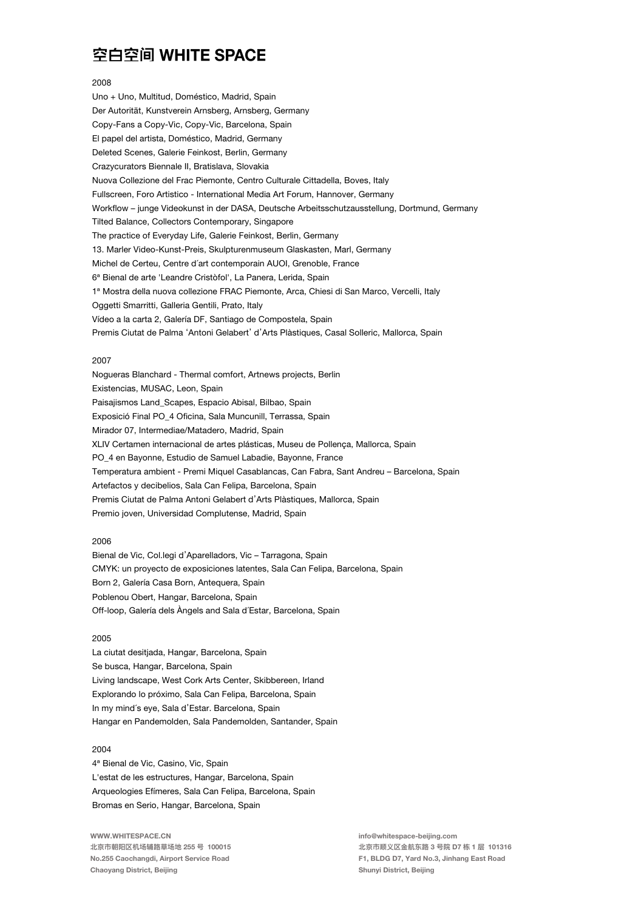### 2008

Uno + Uno, Multitud, Doméstico, Madrid, Spain Der Autorität, Kunstverein Arnsberg, Arnsberg, Germany Copy-Fans a Copy-Vic, Copy-Vic, Barcelona, Spain El papel del artista, Doméstico, Madrid, Germany Deleted Scenes, Galerie Feinkost, Berlin, Germany Crazycurators Biennale II, Bratislava, Slovakia Nuova Collezione del Frac Piemonte, Centro Culturale Cittadella, Boves, Italy Fullscreen, Foro Artistico - International Media Art Forum, Hannover, Germany Workflow - junge Videokunst in der DASA, Deutsche Arbeitsschutzausstellung, Dortmund, Germany Tilted Balance, Collectors Contemporary, Singapore The practice of Everyday Life, Galerie Feinkost, Berlin, Germany 13. Marler Video-Kunst-Preis, Skulpturenmuseum Glaskasten, Marl, Germany Michel de Certeu, Centre d'art contemporain AUOI, Grenoble, France 6<sup>ª</sup> Bienal de arte 'Leandre Cristòfol', La Panera, Lerida, Spain 1ª Mostra della nuova collezione FRAC Piemonte, Arca, Chiesi di San Marco, Vercelli, Italy Oggetti Smarritti, Galleria Gentili, Prato, Italy Vídeo a la carta 2, Galería DF, Santiago de Compostela, Spain Premis Ciutat de Palma 'Antoni Gelabert' d'Arts Plàstiques, Casal Solleric, Mallorca, Spain

## 2007

Nogueras Blanchard - Thermal comfort, Artnews projects, Berlin Existencias, MUSAC, Leon, Spain Paisajismos Land\_Scapes, Espacio Abisal, Bilbao, Spain Exposició Final PO\_4 Oficina, Sala Muncunill, Terrassa, Spain Mirador 07, Intermediae/Matadero, Madrid, Spain XLIV Certamen internacional de artes plásticas, Museu de Pollença, Mallorca, Spain PO\_4 en Bayonne, Estudio de Samuel Labadie, Bayonne, France Temperatura ambient - Premi Miquel Casablancas, Can Fabra, Sant Andreu - Barcelona, Spain Artefactos y decibelios, Sala Can Felipa, Barcelona, Spain Premis Ciutat de Palma Antoni Gelabert d'Arts Plàstiques, Mallorca, Spain Premio joven, Universidad Complutense, Madrid, Spain

## 2006

Bienal de Vic, Col.legi d'Aparelladors, Vic – Tarragona, Spain CMYK: un proyecto de exposiciones latentes, Sala Can Felipa, Barcelona, Spain Born 2, Galería Casa Born, Antequera, Spain Poblenou Obert, Hangar, Barcelona, Spain Off-loop, Galería dels Àngels and Sala d'Estar, Barcelona, Spain

## 2005

La ciutat desitjada, Hangar, Barcelona, Spain Se busca, Hangar, Barcelona, Spain Living landscape, West Cork Arts Center, Skibbereen, Irland Explorando lo próximo, Sala Can Felipa, Barcelona, Spain In my mind's eye, Sala d'Estar. Barcelona, Spain Hangar en Pandemolden, Sala Pandemolden, Santander, Spain

## 2004

4<sup>ª</sup> Bienal de Vic, Casino, Vic, Spain L'estat de les estructures, Hangar, Barcelona, Spain Arqueologies Efímeres, Sala Can Felipa, Barcelona, Spain Bromas en Serio, Hangar, Barcelona, Spain

WWW.WHITESPACE.CN 北京市朝阳区机场辅路草场地 255 号 100015 No.255 Caochangdi, Airport Service Road Chaoyang District, Beijing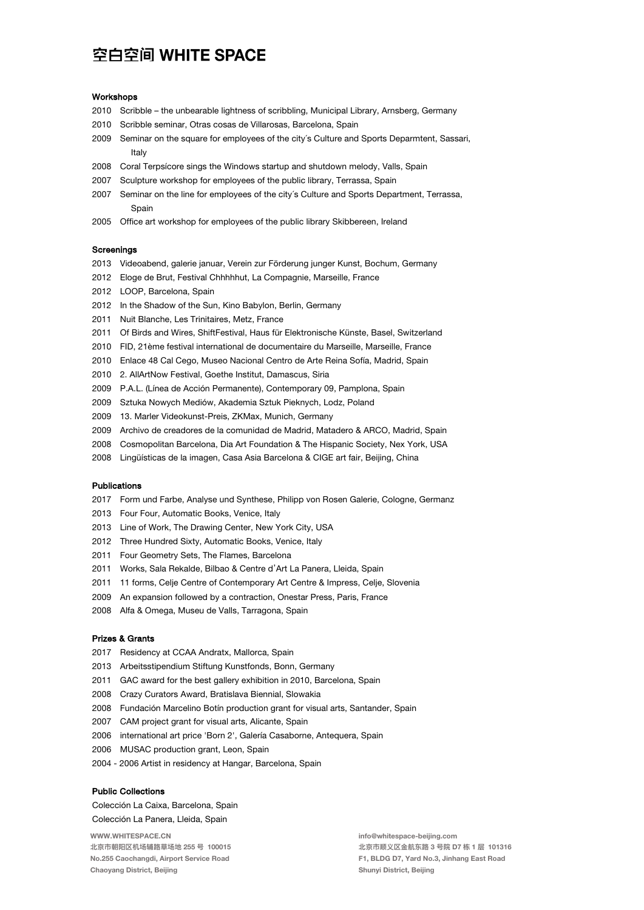#### **Workshops**

- 2010 Scribble the unbearable lightness of scribbling, Municipal Library, Arnsberg, Germany
- 2010 Scribble seminar, Otras cosas de Villarosas, Barcelona, Spain
- 2009 Seminar on the square for employees of the city's Culture and Sports Deparmtent, Sassari, Italy
- 2008 Coral Terpsicore sings the Windows startup and shutdown melody, Valls, Spain
- 2007 Sculpture workshop for employees of the public library, Terrassa, Spain
- 2007 Seminar on the line for employees of the city's Culture and Sports Department, Terrassa, Spain
- 2005 Office art workshop for employees of the public library Skibbereen, Ireland

## **Screenings**

- 2013 Videoabend, galerie januar, Verein zur Förderung junger Kunst, Bochum, Germany
- 2012 Eloge de Brut, Festival Chhhhhut, La Compagnie, Marseille, France
- 2012 LOOP, Barcelona, Spain
- 2012 In the Shadow of the Sun, Kino Babylon, Berlin, Germany
- 2011 Nuit Blanche, Les Trinitaires, Metz, France
- 2011 Of Birds and Wires, ShiftFestival, Haus für Elektronische Künste, Basel, Switzerland
- 2010 FID, 21ème festival international de documentaire du Marseille, Marseille, France
- 2010 Enlace 48 Cal Cego, Museo Nacional Centro de Arte Reina Sofía, Madrid, Spain
- 2010 2. AllArtNow Festival, Goethe Institut, Damascus, Siria
- 2009 P.A.L. (Línea de Acción Permanente), Contemporary 09, Pamplona, Spain
- 2009 Sztuka Nowych Mediów, Akademia Sztuk Pieknych, Lodz, Poland
- 2009 13. Marler Videokunst-Preis, ZKMax, Munich, Germany
- 2009 Archivo de creadores de la comunidad de Madrid, Matadero & ARCO, Madrid, Spain
- 2008 Cosmopolitan Barcelona, Dia Art Foundation & The Hispanic Society, Nex York, USA
- 2008 Lingüísticas de la imagen, Casa Asia Barcelona & CIGE art fair, Beijing, China

### Publications

- 2017 Form und Farbe, Analyse und Synthese, Philipp von Rosen Galerie, Cologne, Germanz
- 2013 Four Four, Automatic Books, Venice, Italy
- 2013 Line of Work, The Drawing Center, New York City, USA
- 2012 Three Hundred Sixty, Automatic Books, Venice, Italy
- 2011 Four Geometry Sets, The Flames, Barcelona
- 2011 Works, Sala Rekalde, Bilbao & Centre d'Art La Panera, Lleida, Spain
- 2011 11 forms, Celie Centre of Contemporary Art Centre & Impress, Celie, Slovenia
- 2009 An expansion followed by a contraction, Onestar Press, Paris, France
- 2008 Alfa & Omega, Museu de Valls, Tarragona, Spain

## Prizes&Grants

- 2017 Residency at CCAA Andratx, Mallorca, Spain
- 2013 Arbeitsstipendium Stiftung Kunstfonds, Bonn, Germany
- 2011 GAC award for the best gallery exhibition in 2010, Barcelona, Spain
- 2008 Crazy Curators Award, Bratislava Biennial, Slowakia
- 2008 Fundación Marcelino Botín production grant for visual arts, Santander, Spain
- 2007 CAM project grant for visual arts, Alicante, Spain
- 2006 international art price 'Born 2', Galería Casaborne, Antequera, Spain
- 2006 MUSAC production grant, Leon, Spain
- 2004 2006 Artist in residency at Hangar, Barcelona, Spain

## **Public Collections**

Colección La Caixa, Barcelona, Spain Colección La Panera, Lleida, Spain

WWW.WHITESPACE.CN 北京市朝阳区机场辅路草场地 255 号 100015 No.255 Caochangdi, Airport Service Road Chaoyang District, Beijing